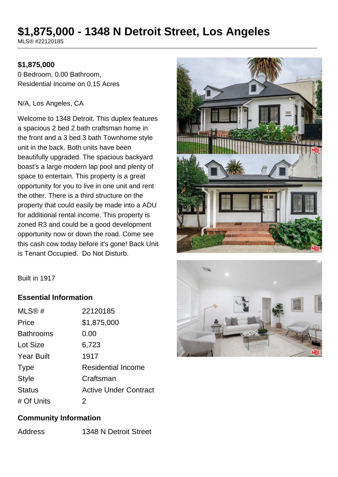# **\$1,875,000 - 1348 N Detroit Street, Los Angeles**

MLS® #22120185

#### **\$1,875,000**

0 Bedroom, 0.00 Bathroom, Residential Income on 0.15 Acres

#### N/A, Los Angeles, CA

Welcome to 1348 Detroit. This duplex features a spacious 2 bed 2 bath craftsman home in the front and a 3 bed 3 bath Townhome style unit in the back. Both units have been beautifully upgraded. The spacious backyard boast's a large modern lap pool and plenty of space to entertain. This property is a great opportunity for you to live in one unit and rent the other. There is a third structure on the property that could easily be made into a ADU for additional rental income. This property is zoned R3 and could be a good development opportunity now or down the road. Come see this cash cow today before it's gone! Back Unit is Tenant Occupied. Do Not Disturb.





# **Essential Information**

| MLS@#             | 22120185                     |
|-------------------|------------------------------|
| Price             | \$1,875,000                  |
| <b>Bathrooms</b>  | 0.00                         |
| Lot Size          | 6,723                        |
| <b>Year Built</b> | 1917                         |
| <b>Type</b>       | <b>Residential Income</b>    |
| <b>Style</b>      | Craftsman                    |
| <b>Status</b>     | <b>Active Under Contract</b> |
| # Of Units        | 2                            |

# **Community Information**

Address 1348 N Detroit Street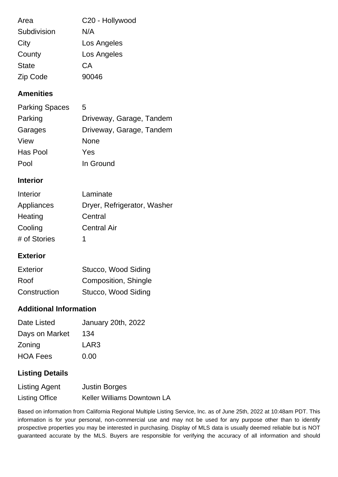| Area         | C20 - Hollywood |
|--------------|-----------------|
| Subdivision  | N/A             |
| City         | Los Angeles     |
| County       | Los Angeles     |
| <b>State</b> | CA              |
| Zip Code     | 90046           |

# **Amenities**

| <b>Parking Spaces</b> | 5                        |
|-----------------------|--------------------------|
| Parking               | Driveway, Garage, Tandem |
| Garages               | Driveway, Garage, Tandem |
| View                  | None                     |
| Has Pool              | Yes                      |
| Pool                  | In Ground                |

# **Interior**

| Interior     | Laminate                    |
|--------------|-----------------------------|
| Appliances   | Dryer, Refrigerator, Washer |
| Heating      | Central                     |
| Cooling      | <b>Central Air</b>          |
| # of Stories | 1                           |

# **Exterior**

| Exterior     | Stucco, Wood Siding  |
|--------------|----------------------|
| Roof         | Composition, Shingle |
| Construction | Stucco, Wood Siding  |

# **Additional Information**

| Date Listed     | January 20th, 2022 |
|-----------------|--------------------|
| Days on Market  | 134                |
| Zoning          | LAR3               |
| <b>HOA Fees</b> | 0.00               |
|                 |                    |

# **Listing Details**

| <b>Listing Agent</b>  | <b>Justin Borges</b>               |
|-----------------------|------------------------------------|
| <b>Listing Office</b> | <b>Keller Williams Downtown LA</b> |

Based on information from California Regional Multiple Listing Service, Inc. as of June 25th, 2022 at 10:48am PDT. This information is for your personal, non-commercial use and may not be used for any purpose other than to identify prospective properties you may be interested in purchasing. Display of MLS data is usually deemed reliable but is NOT guaranteed accurate by the MLS. Buyers are responsible for verifying the accuracy of all information and should